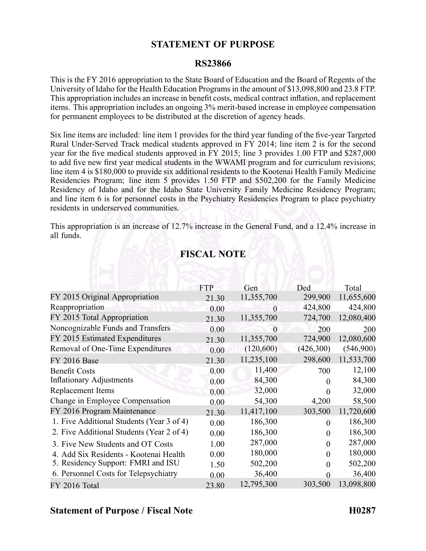#### **STATEMENT OF PURPOSE**

#### **RS23866**

This is the FY 2016 appropriation to the State Board of Education and the Board of Regents of the University of Idaho for the Health Education Programs in the amount of \$13,098,800 and 23.8 FTP. This appropriation includes an increase in benefit costs, medical contract inflation, and replacement items. This appropriation includes an ongoing 3% merit-based increase in employee compensation for permanen<sup>t</sup> employees to be distributed at the discretion of agency heads.

Six line items are included: line item 1 provides for the third year funding of the five-year Targeted Rural Under-Served Track medical students approved in FY 2014; line item 2 is for the second year for the five medical students approved in FY 2015; line 3 provides 1.00 FTP and \$287,000 to add five new first year medical students in the WWAMI program and for curriculum revisions; line item 4 is \$180,000 to provide six additional residents to the Kootenai Health Family Medicine Residencies Program; line item 5 provides 1.50 FTP and \$502,200 for the Family Medicine Residency of Idaho and for the Idaho State University Family Medicine Residency Program; and line item 6 is for personnel costs in the Psychiatry Residencies Program to place psychiatry residents in underserved communities.

This appropriation is an increase of 12.7% increase in the General Fund, and <sup>a</sup> 12.4% increase in all funds.

|                                           | <b>FTP</b> | Gen        | Ded       | Total      |
|-------------------------------------------|------------|------------|-----------|------------|
| FY 2015 Original Appropriation            | 21.30      | 11,355,700 | 299,900   | 11,655,600 |
| Reappropriation                           | 0.00       | $\Omega$   | 424,800   | 424,800    |
| FY 2015 Total Appropriation               | 21.30      | 11,355,700 | 724,700   | 12,080,400 |
| Noncognizable Funds and Transfers         | 0.00       | $\theta$   | 200       | 200        |
| FY 2015 Estimated Expenditures            | 21.30      | 11,355,700 | 724,900   | 12,080,600 |
| Removal of One-Time Expenditures          | 0.00       | (120,600)  | (426,300) | (546,900)  |
| <b>FY 2016 Base</b>                       | 21.30      | 11,235,100 | 298,600   | 11,533,700 |
| <b>Benefit Costs</b>                      | 0.00       | 11,400     | 700       | 12,100     |
| <b>Inflationary Adjustments</b>           | 0.00       | 84,300     |           | 84,300     |
| Replacement Items                         | 0.00       | 32,000     | $\theta$  | 32,000     |
| Change in Employee Compensation           | 0.00       | 54,300     | 4,200     | 58,500     |
| FY 2016 Program Maintenance               | 21.30      | 11,417,100 | 303,500   | 11,720,600 |
| 1. Five Additional Students (Year 3 of 4) | 0.00       | 186,300    | 0         | 186,300    |
| 2. Five Additional Students (Year 2 of 4) | 0.00       | 186,300    | 0         | 186,300    |
| 3. Five New Students and OT Costs         | 1.00       | 287,000    |           | 287,000    |
| 4. Add Six Residents - Kootenai Health    | 0.00       | 180,000    |           | 180,000    |
| 5. Residency Support: FMRI and ISU        | 1.50       | 502,200    | 0         | 502,200    |
| 6. Personnel Costs for Telepsychiatry     | 0.00       | 36,400     | 0         | 36,400     |
| FY 2016 Total                             | 23.80      | 12,795,300 | 303,500   | 13,098,800 |

## **FISCAL NOTE**

### **Statement of Purpose / Fiscal Note H0287**